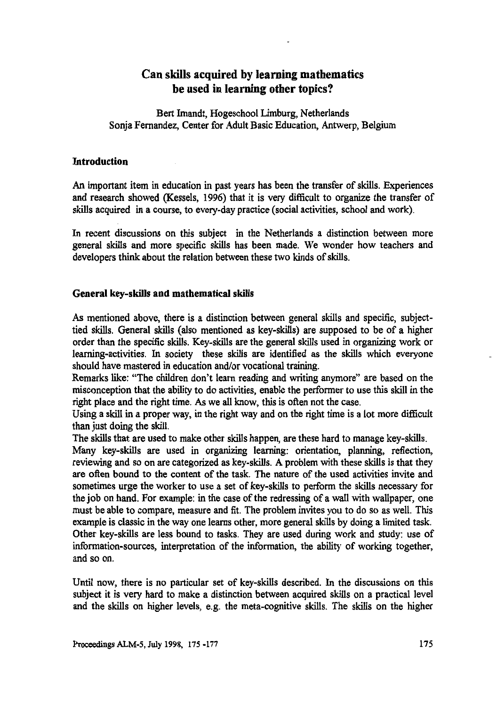# **Can skills acquired by learning mathematics be used in learning other topics?**

Bert Imandt, Hogeschool Limburg, Netherlands Sonja Fernandez, Center for Adult Basic Education, Antwerp, Belgium

#### **Introduction**

An important item in education in past years has been the transfer of skills. Experiences and research showed (Kessels, 1996) that it is very difficult to organize the transfer of skills acquired in a course, to every-day practice (social activities, school and work).

In recent discussions on this subject in the Netherlands a distinction between more general skills and more specific skills has been made. We wonder how teachers and developers think about the relation between these two kinds of skills.

#### **General key-skills and mathematical skills**

As mentioned above, there is a distinction between general skills and specific, subjecttied skills. General skills (also mentioned as key-skills) are supposed to be of a higher order than the specific skills. Key-skills are the general skills used in organizing work or learning-activities. In society these skills are identified as the skills which everyone should have mastered in education and/or vocational training.

Remarks like: "The children don't learn reading and writing anymore" are based on the misconception that the ability to do activities, enable the performer to use this skill in the right place and the right time. As we all know, this is often not the case.

Using a skill in a proper way, in the right way and on the right time is a lot more difficult than just doing the skill.

The skills that are used to make other skills happen, are these hard to manage key-skills.

Many key-skills are used in organizing learning: orientation, planning, reflection, reviewing and so on are categorized as key-skills. A problem with these skills is that they are often bound to the content of the task. The nature of the used activities invite and sometimes urge the worker to use a set of key-skills to perform the skills necessary for the job on hand. For example: in the case of the redressing of a wall with wallpaper, one must be able to compare, measure and fit. The problem invites you to do so as well. This example is classic in the way one learns other, more general skills by doing a limited task. Other key-skills are less bound to tasks. They are used during work and study: use of information-sources, interpretation of the information, the ability of working together, and so on.

Until now, there is no particular set of key-skills described. In the discussions on this subject it is very hard to make a distinction between acquired skills on a practical level and the skills on higher levels, e.g. the meta-cognitive skills. The skills on the higher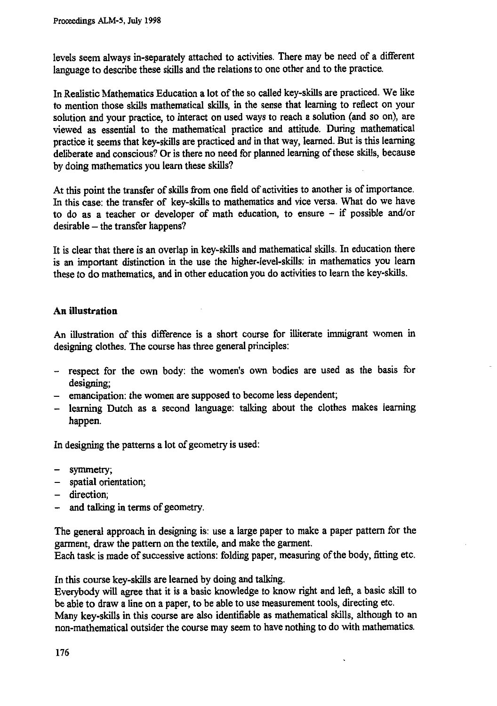**levels seem always in-separately attached to activities. There may be need of a different language to describe these skills and the relations to one other and to the practice.**

**In Realistic Mathematics Education a lot of the so called key-skills are practiced. We like to mention those skills mathematical skills, in the sense that learning to reflect on your solution and your practice, to interact on used ways to reach a solution (and so on), are viewed as essential to the mathematical practice and attitude. During mathematical practice it seems that key-skills are practiced and in that way, learned. But is this learning deliberate and conscious? Or is there no need for planned learning of these skills, because by doing mathematics you learn these skills?**

**At this point the transfer of skills from one field of activities to another is of importance. In this case: the transfer of key-skills to mathematics and vice versa. What do we have to do as a teacher or developer of math education, to ensure — if possible and/or desirable — the transfer happens?**

**It is clear that there is an overlap in key-skills and mathematical skills. In education there is an important distinction in the use the higher-level-skills: in mathematics you learn these to do mathematics, and in other education you do activities to learn the key-skills.**

# **An illustration**

**An illustration of this difference is a short course for illiterate immigrant women in designing clothes. The course has three general principles:**

- **— respect for the own body: the women's own bodies are used as the basis for designing;**
- **— emancipation: the women are supposed to become less dependent;**
- **learning Dutch as a second language: talking about the clothes makes learning happen.**

**In designing the patterns a lot of geometry is used:**

- **symmetry;**
- **— spatial orientation;**
- **— direction;**
- **— and talking in terms of geometry.**

**The general approach in designing is: use a large paper to make a paper pattern for the garment, draw the pattern on the textile, and make the garment.**

**Each task is made of successive actions: folding paper, measuring of the body, fitting etc.**

**In this course key-skills are learned by doing and talking.**

**Everybody will agree that it is a basic knowledge to know right and left, a basic skill to be able to draw a line on a paper, to be able to use measurement tools, directing etc. Many key-skills in this course are also identifiable as mathematical skills, although to an non-mathematical outsider the course may seem to have nothing to do with mathematics.**